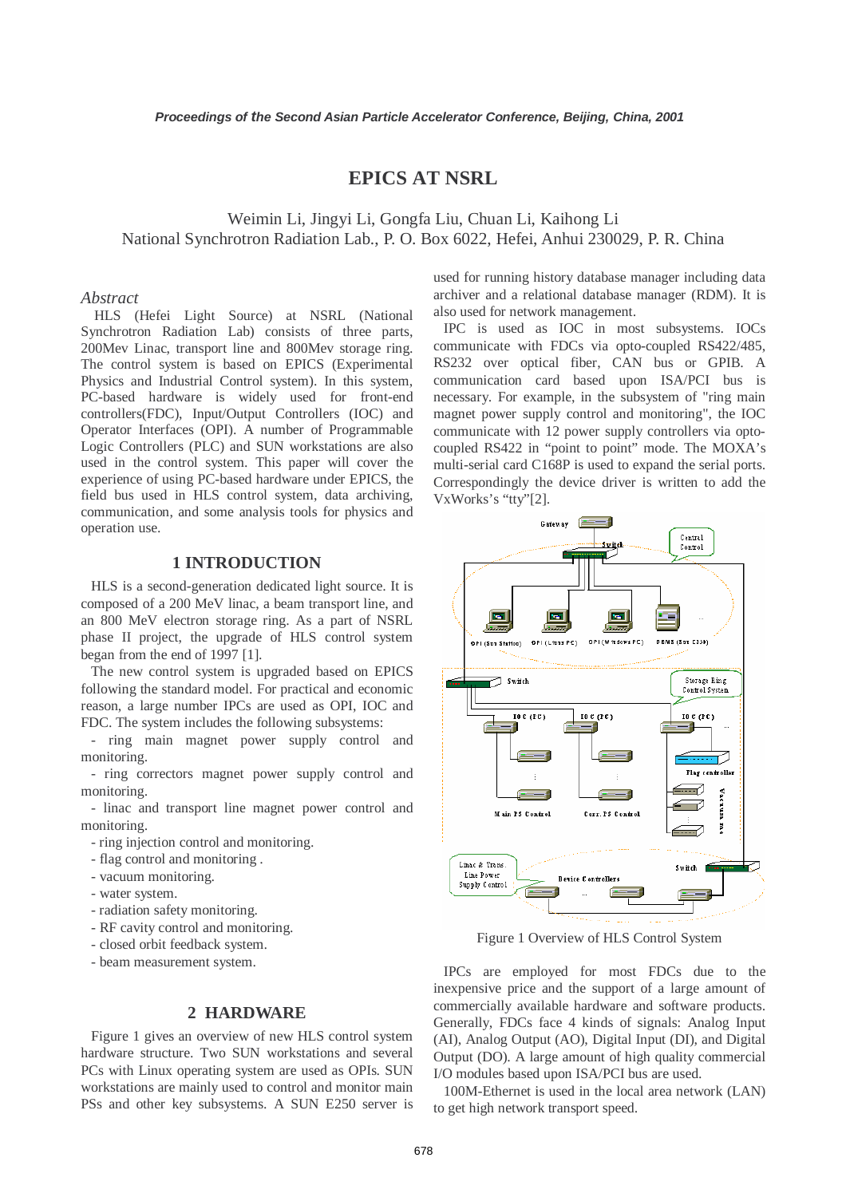# **EPICS AT NSRL**

Weimin Li, Jingyi Li, Gongfa Liu, Chuan Li, Kaihong Li National Synchrotron Radiation Lab., P. O. Box 6022, Hefei, Anhui 230029, P. R. China

### *Abstract*

HLS (Hefei Light Source) at NSRL (National Synchrotron Radiation Lab) consists of three parts, 200Mev Linac, transport line and 800Mev storage ring. The control system is based on EPICS (Experimental Physics and Industrial Control system). In this system, PC-based hardware is widely used for front-end controllers(FDC), Input/Output Controllers (IOC) and Operator Interfaces (OPI). A number of Programmable Logic Controllers (PLC) and SUN workstations are also used in the control system. This paper will cover the experience of using PC-based hardware under EPICS, the field bus used in HLS control system, data archiving, communication, and some analysis tools for physics and operation use.

## **1 INTRODUCTION**

HLS is a second-generation dedicated light source. It is composed of a 200 MeV linac, a beam transport line, and an 800 MeV electron storage ring. As a part of NSRL phase II project, the upgrade of HLS control system began from the end of 1997 [1].

The new control system is upgraded based on EPICS following the standard model. For practical and economic reason, a large number IPCs are used as OPI, IOC and FDC. The system includes the following subsystems:

- ring main magnet power supply control and monitoring.

- ring correctors magnet power supply control and monitoring.

- linac and transport line magnet power control and monitoring.

- ring injection control and monitoring.

- flag control and monitoring .
- vacuum monitoring.
- water system.
- radiation safety monitoring.
- RF cavity control and monitoring.
- closed orbit feedback system.
- beam measurement system.

### **2 HARDWARE**

Figure 1 gives an overview of new HLS control system hardware structure. Two SUN workstations and several PCs with Linux operating system are used as OPIs. SUN workstations are mainly used to control and monitor main PSs and other key subsystems. A SUN E250 server is used for running history database manager including data archiver and a relational database manager (RDM). It is also used for network management.

IPC is used as IOC in most subsystems. IOCs communicate with FDCs via opto-coupled RS422/485, RS232 over optical fiber, CAN bus or GPIB. A communication card based upon ISA/PCI bus is necessary. For example, in the subsystem of "ring main magnet power supply control and monitoring", the IOC communicate with 12 power supply controllers via optocoupled RS422 in "point to point" mode. The MOXA's multi-serial card C168P is used to expand the serial ports. Correspondingly the device driver is written to add the VxWorks's "tty"[2].



Figure 1 Overview of HLS Control System

IPCs are employed for most FDCs due to the inexpensive price and the support of a large amount of commercially available hardware and software products. Generally, FDCs face 4 kinds of signals: Analog Input (AI), Analog Output (AO), Digital Input (DI), and Digital Output (DO). A large amount of high quality commercial I/O modules based upon ISA/PCI bus are used.

100M-Ethernet is used in the local area network (LAN) to get high network transport speed.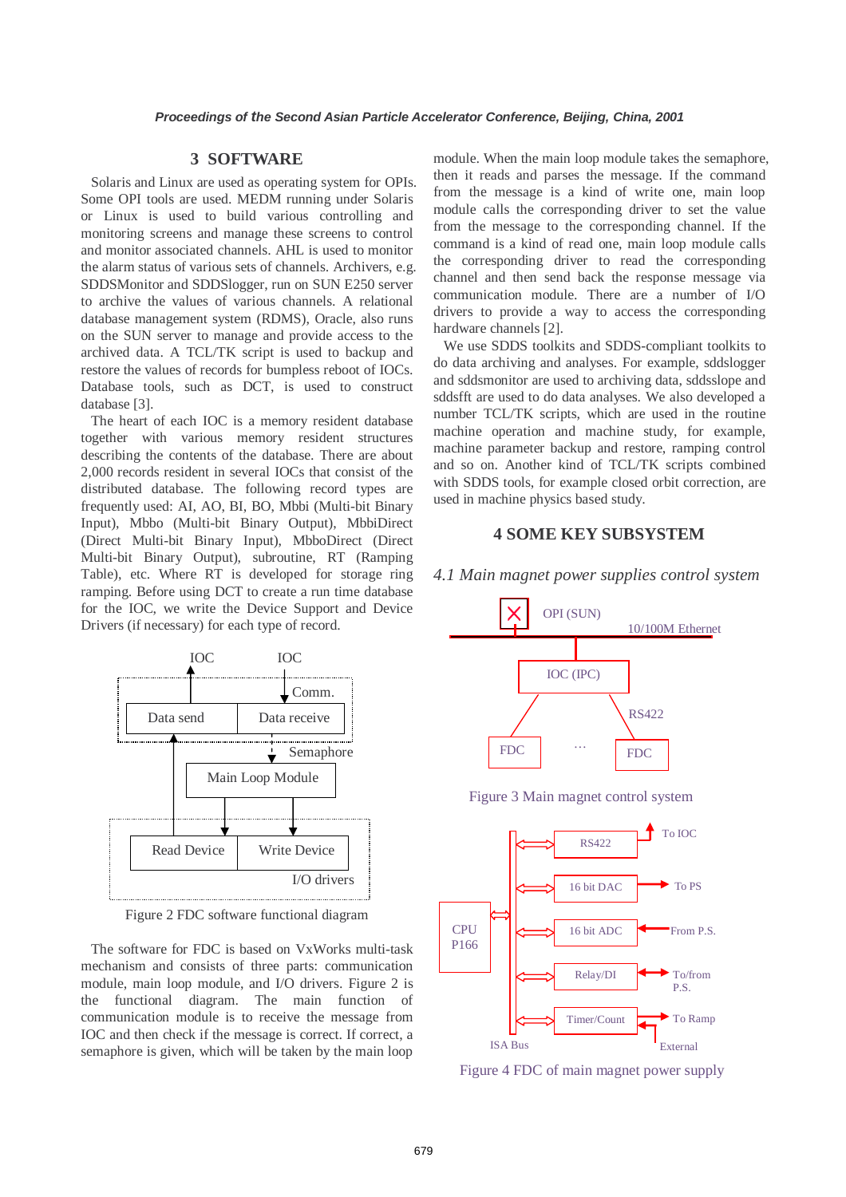#### **3 SOFTWARE**

Solaris and Linux are used as operating system for OPIs. Some OPI tools are used. MEDM running under Solaris or Linux is used to build various controlling and monitoring screens and manage these screens to control and monitor associated channels. AHL is used to monitor the alarm status of various sets of channels. Archivers, e.g. SDDSMonitor and SDDSlogger, run on SUN E250 server to archive the values of various channels. A relational database management system (RDMS), Oracle, also runs on the SUN server to manage and provide access to the archived data. A TCL/TK script is used to backup and restore the values of records for bumpless reboot of IOCs. Database tools, such as DCT, is used to construct database [3].

The heart of each IOC is a memory resident database together with various memory resident structures describing the contents of the database. There are about 2,000 records resident in several IOCs that consist of the distributed database. The following record types are frequently used: AI, AO, BI, BO, Mbbi (Multi-bit Binary Input), Mbbo (Multi-bit Binary Output), MbbiDirect (Direct Multi-bit Binary Input), MbboDirect (Direct Multi-bit Binary Output), subroutine, RT (Ramping Table), etc. Where RT is developed for storage ring ramping. Before using DCT to create a run time database for the IOC, we write the Device Support and Device Drivers (if necessary) for each type of record.



Figure 2 FDC software functional diagram

The software for FDC is based on VxWorks multi-task mechanism and consists of three parts: communication module, main loop module, and I/O drivers. Figure 2 is the functional diagram. The main function of communication module is to receive the message from IOC and then check if the message is correct. If correct, a semaphore is given, which will be taken by the main loop

module. When the main loop module takes the semaphore, then it reads and parses the message. If the command from the message is a kind of write one, main loop module calls the corresponding driver to set the value from the message to the corresponding channel. If the command is a kind of read one, main loop module calls the corresponding driver to read the corresponding channel and then send back the response message via communication module. There are a number of I/O drivers to provide a way to access the corresponding hardware channels [2].

We use SDDS toolkits and SDDS-compliant toolkits to do data archiving and analyses. For example, sddslogger and sddsmonitor are used to archiving data, sddsslope and sddsfft are used to do data analyses. We also developed a number TCL/TK scripts, which are used in the routine machine operation and machine study, for example, machine parameter backup and restore, ramping control and so on. Another kind of TCL/TK scripts combined with SDDS tools, for example closed orbit correction, are used in machine physics based study.

## **4 SOME KEY SUBSYSTEM**



*4.1 Main magnet power supplies control system* 



16 bit ADC

Relay/DI

Timer/Count er

External

From P.S.

To/from P.S.

To Ramp

**CPU** P166

ISA Bus